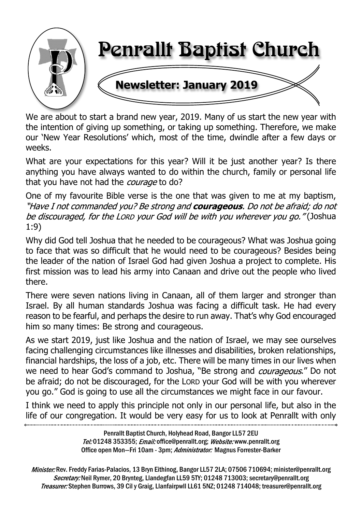

We are about to start a brand new year, 2019. Many of us start the new year with the intention of giving up something, or taking up something. Therefore, we make our 'New Year Resolutions' which, most of the time, dwindle after a few days or weeks.

What are your expectations for this year? Will it be just another year? Is there anything you have always wanted to do within the church, family or personal life that you have not had the *courage* to do?

One of my favourite Bible verse is the one that was given to me at my baptism, "Have I not commanded you? Be strong and **courageous**. Do not be afraid; do not be discouraged, for the LORD your God will be with you wherever you go."(Joshua 1:9)

Why did God tell Joshua that he needed to be courageous? What was Joshua going to face that was so difficult that he would need to be courageous? Besides being the leader of the nation of Israel God had given Joshua a project to complete. His first mission was to lead his army into Canaan and drive out the people who lived there.

There were seven nations living in Canaan, all of them larger and stronger than Israel. By all human standards Joshua was facing a difficult task. He had every reason to be fearful, and perhaps the desire to run away. That's why God encouraged him so many times: Be strong and courageous.

As we start 2019, just like Joshua and the nation of Israel, we may see ourselves facing challenging circumstances like illnesses and disabilities, broken relationships, financial hardships, the loss of a job, etc. There will be many times in our lives when we need to hear God's command to Joshua, "Be strong and *courageous*." Do not be afraid; do not be discouraged, for the LORD your God will be with you wherever you go." God is going to use all the circumstances we might face in our favour.

I think we need to apply this principle not only in our personal life, but also in the life of our congregation. It would be very easy for us to look at Penrallt with only

> Penrallt Baptist Church, Holyhead Road, Bangor LL57 2EU Tel:01248 353355; Email: office@penrallt.org; Website: www.penrallt.org Office open Mon-Fri 10am - 3pm; Administrator: Magnus Forrester-Barker

Minister: Rev. Freddy Farias-Palacios, 13 Bryn Eithinog, Bangor LL57 2LA; 07506 710694; minister@penrallt.org Secretary: Neil Rymer, 20 Brynteg, Llandegfan LL59 5TY; 01248 713003; secretary@penrallt.org Treasurer: Stephen Burrows, 39 Cil y Graig, Llanfairpwll LL61 5NZ; 01248 714048; treasurer@penrallt.org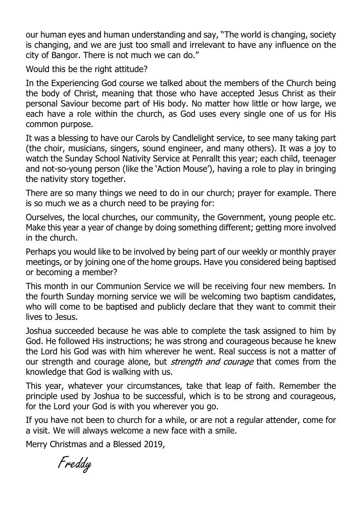our human eyes and human understanding and say, "The world is changing, society is changing, and we are just too small and irrelevant to have any influence on the city of Bangor. There is not much we can do."

Would this be the right attitude?

In the Experiencing God course we talked about the members of the Church being the body of Christ, meaning that those who have accepted Jesus Christ as their personal Saviour become part of His body. No matter how little or how large, we each have a role within the church, as God uses every single one of us for His common purpose.

It was a blessing to have our Carols by Candlelight service, to see many taking part (the choir, musicians, singers, sound engineer, and many others). It was a joy to watch the Sunday School Nativity Service at Penrallt this year; each child, teenager and not-so-young person (like the 'Action Mouse'), having a role to play in bringing the nativity story together.

There are so many things we need to do in our church; prayer for example. There is so much we as a church need to be praying for:

Ourselves, the local churches, our community, the Government, young people etc. Make this year a year of change by doing something different; getting more involved in the church.

Perhaps you would like to be involved by being part of our weekly or monthly prayer meetings, or by joining one of the home groups. Have you considered being baptised or becoming a member?

This month in our Communion Service we will be receiving four new members. In the fourth Sunday morning service we will be welcoming two baptism candidates, who will come to be baptised and publicly declare that they want to commit their lives to Jesus.

Joshua succeeded because he was able to complete the task assigned to him by God. He followed His instructions; he was strong and courageous because he knew the Lord his God was with him wherever he went. Real success is not a matter of our strength and courage alone, but *strength and courage* that comes from the knowledge that God is walking with us.

This year, whatever your circumstances, take that leap of faith. Remember the principle used by Joshua to be successful, which is to be strong and courageous, for the Lord your God is with you wherever you go.

If you have not been to church for a while, or are not a regular attender, come for a visit. We will always welcome a new face with a smile.

Merry Christmas and a Blessed 2019,

Freddy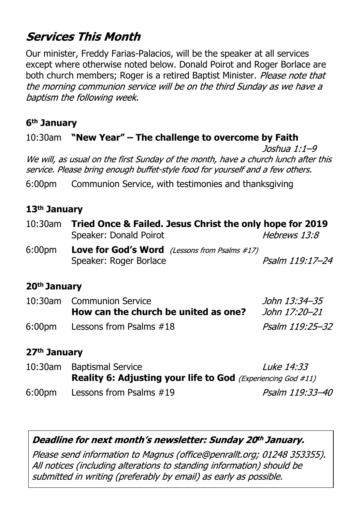# **Services This Month**

Our minister, Freddy Farias-Palacios, will be the speaker at all services except where otherwise noted below. Donald Poirot and Roger Borlace are both church members; Roger is a retired Baptist Minister. Please note that the morning communion service will be on the third Sunday as we have a baptism the following week.

#### **6th January**

#### 10:30am **"New Year" – The challenge to overcome by Faith**

Joshua 1:1-9 We will, as usual on the first Sunday of the month, have a church lunch after this service. Please bring enough buffet-style food for yourself and a few others.

6:00pm Communion Service, with testimonies and thanksgiving

#### **13th January**

| 10:30am | Tried Once & Failed. Jesus Christ the only hope for 2019                       |                     |  |  |
|---------|--------------------------------------------------------------------------------|---------------------|--|--|
|         | Speaker: Donald Poirot                                                         | <i>Hebrews 13:8</i> |  |  |
| 6:00pm  | <b>Love for God's Word</b> (Lessons from Psalms #17)<br>Speaker: Roger Borlace | Psalm 119:17-24     |  |  |

#### **20th January**

| 10:30am Communion Service            | John 13:34–35   |
|--------------------------------------|-----------------|
| How can the church be united as one? | John 17:20–21   |
| 6:00pm Lessons from Psalms #18       | Psalm 119:25–32 |

#### **27th January**

10:30am Baptismal Service **Luke 14:33 Reality 6: Adjusting your life to God** (*Experiencing God #11)* 6:00pm Lessons from Psalms #19Psalm 119:33-40

#### Deadline for next month's newsletter: Sunday 20th January.

Please send information to Magnus (office@penrallt.org; 01248 353355). All notices (including alterations to standing information) should be submitted in writing (preferably by email) as early as possible.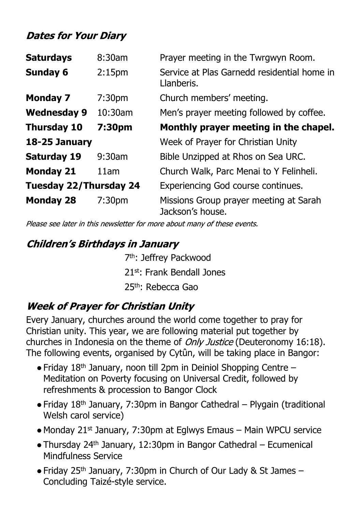# **Dates for Your Diary**

| <b>Saturdays</b>              | 8:30am             | Prayer meeting in the Twrgwyn Room.                        |
|-------------------------------|--------------------|------------------------------------------------------------|
| <b>Sunday 6</b>               | 2:15 <sub>pm</sub> | Service at Plas Garnedd residential home in<br>Llanberis.  |
| <b>Monday 7</b>               | 7:30 <sub>pm</sub> | Church members' meeting.                                   |
| <b>Wednesday 9</b>            | 10:30am            | Men's prayer meeting followed by coffee.                   |
| <b>Thursday 10</b>            | 7:30pm             | Monthly prayer meeting in the chapel.                      |
| 18-25 January                 |                    | Week of Prayer for Christian Unity                         |
| <b>Saturday 19</b>            | 9:30am             | Bible Unzipped at Rhos on Sea URC.                         |
| <b>Monday 21</b>              | 11am               | Church Walk, Parc Menai to Y Felinheli.                    |
| <b>Tuesday 22/Thursday 24</b> |                    | Experiencing God course continues.                         |
| <b>Monday 28</b>              | 7:30 <sub>pm</sub> | Missions Group prayer meeting at Sarah<br>Jackson's house. |

Please see later in this newsletter for more about many of these events.

## **Children's Birthdays in January**

 7th: Jeffrey Packwood 21st: Frank Bendall Jones 25th: Rebecca Gao

# **Week of Prayer for Christian Unity**

Every January, churches around the world come together to pray for Christian unity. This year, we are following material put together by churches in Indonesia on the theme of *Only Justice* (Deuteronomy 16:18). The following events, organised by Cytûn, will be taking place in Bangor:

- $\bullet$  Friday 18<sup>th</sup> January, noon till 2pm in Deiniol Shopping Centre Meditation on Poverty focusing on Universal Credit, followed by refreshments & procession to Bangor Clock
- $\bullet$  Friday 18<sup>th</sup> January, 7:30pm in Bangor Cathedral Plygain (traditional Welsh carol service)
- $\bullet$  Monday 21<sup>st</sup> January, 7:30pm at Eglwys Emaus Main WPCU service
- ●Thursday 24th January, 12:30pm in Bangor Cathedral Ecumenical Mindfulness Service
- Friday 25<sup>th</sup> January, 7:30pm in Church of Our Lady & St James Concluding Taizé-style service.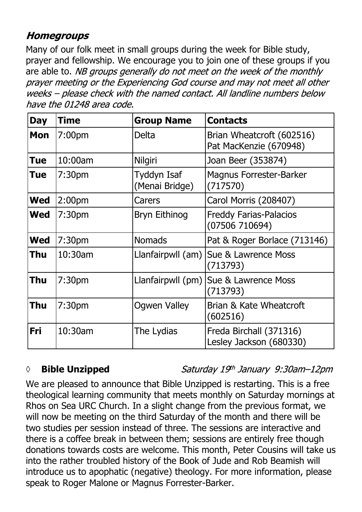### **Homegroups**

Many of our folk meet in small groups during the week for Bible study, prayer and fellowship. We encourage you to join one of these groups if you are able to. NB groups generally do not meet on the week of the monthly prayer meeting or the Experiencing God course and may not meet all other weeks - please check with the named contact. All landline numbers below have the 01248 area code.

| <b>Day</b> | <b>Time</b>        | <b>Group Name</b>                    | <b>Contacts</b>                                     |
|------------|--------------------|--------------------------------------|-----------------------------------------------------|
| <b>Mon</b> | 7:00 <sub>pm</sub> | Delta                                | Brian Wheatcroft (602516)<br>Pat MacKenzie (670948) |
| <b>Tue</b> | 10:00am            | Nilgiri                              | Joan Beer (353874)                                  |
| <b>Tue</b> | 7:30 <sub>pm</sub> | <b>Tyddyn Isaf</b><br>(Menai Bridge) | <b>Magnus Forrester-Barker</b><br>(717570)          |
| <b>Wed</b> | 2:00 <sub>pm</sub> | Carers                               | Carol Morris (208407)                               |
| <b>Wed</b> | 7:30 <sub>pm</sub> | Bryn Eithinog                        | <b>Freddy Farias-Palacios</b><br>(07506710694)      |
| <b>Wed</b> | 7:30pm             | <b>Nomads</b>                        | Pat & Roger Borlace (713146)                        |
| <b>Thu</b> | 10:30am            |                                      | Llanfairpwll (am) Sue & Lawrence Moss<br>(713793)   |
| <b>Thu</b> | 7:30 <sub>pm</sub> |                                      | Llanfairpwll (pm) Sue & Lawrence Moss<br>(713793)   |
| Thu        | 7:30 <sub>pm</sub> | <b>Ogwen Valley</b>                  | Brian & Kate Wheatcroft<br>(602516)                 |
| Fri        | 10:30am            | The Lydias                           | Freda Birchall (371316)<br>Lesley Jackson (680330)  |

#### *◊* **Bible Unzipped**

Saturday 19th January 9:30am-12pm

We are pleased to announce that Bible Unzipped is restarting. This is a free theological learning community that meets monthly on Saturday mornings at Rhos on Sea URC Church. In a slight change from the previous format, we will now be meeting on the third Saturday of the month and there will be two studies per session instead of three. The sessions are interactive and there is a coffee break in between them; sessions are entirely free though donations towards costs are welcome. This month, Peter Cousins will take us into the rather troubled history of the Book of Jude and Rob Beamish will introduce us to apophatic (negative) theology. For more information, please speak to Roger Malone or Magnus Forrester-Barker.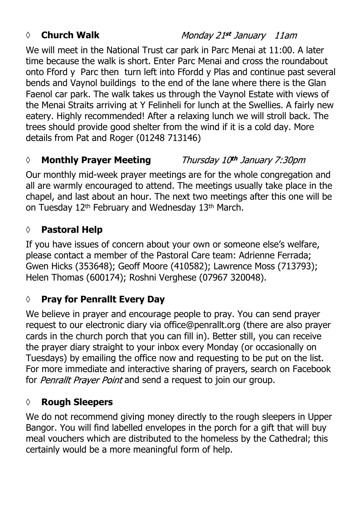#### *◊* **Church Walk**

Monday 21st January 11am

We will meet in the National Trust car park in Parc Menai at 11:00. A later time because the walk is short. Enter Parc Menai and cross the roundabout onto Fford y Parc then turn left into Ffordd y Plas and continue past several bends and Vaynol buildings to the end of the lane where there is the Glan Faenol car park. The walk takes us through the Vaynol Estate with views of the Menai Straits arriving at Y Felinheli for lunch at the Swellies. A fairly new eatery. Highly recommended! After a relaxing lunch we will stroll back. The trees should provide good shelter from the wind if it is a cold day. More details from Pat and Roger (01248 713146)

#### *◊* **Monthly Prayer Meeting** Thursday 10th January 7:30pm

Our monthly mid-week prayer meetings are for the whole congregation and all are warmly encouraged to attend. The meetings usually take place in the chapel, and last about an hour. The next two meetings after this one will be on Tuesday 12<sup>th</sup> February and Wednesday 13<sup>th</sup> March.

#### **◊ Pastoral Help**

If you have issues of concern about your own or someone else's welfare, please contact a member of the Pastoral Care team: Adrienne Ferrada; Gwen Hicks (353648); Geoff Moore (410582); Lawrence Moss (713793); Helen Thomas (600174); Roshni Verghese (07967 320048).

#### **◊ Pray for Penrallt Every Day**

We believe in prayer and encourage people to pray. You can send prayer request to our electronic diary via office@penrallt.org (there are also prayer cards in the church porch that you can fill in). Better still, you can receive the prayer diary straight to your inbox every Monday (or occasionally on Tuesdays) by emailing the office now and requesting to be put on the list. For more immediate and interactive sharing of prayers, search on Facebook for Penrallt Prayer Point and send a request to join our group.

#### **◊ Rough Sleepers**

We do not recommend giving money directly to the rough sleepers in Upper Bangor. You will find labelled envelopes in the porch for a gift that will buy meal vouchers which are distributed to the homeless by the Cathedral; this certainly would be a more meaningful form of help.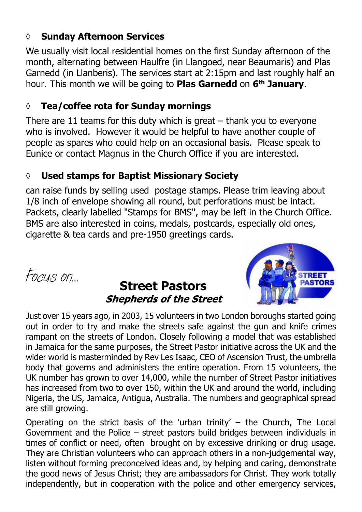#### **◊ Sunday Afternoon Services**

We usually visit local residential homes on the first Sunday afternoon of the month, alternating between Haulfre (in Llangoed, near Beaumaris) and Plas Garnedd (in Llanberis). The services start at 2:15pm and last roughly half an hour. This month we will be going to **Plas Garnedd** on **6th January**.

#### **◊ Tea/coffee rota for Sunday mornings**

There are 11 teams for this duty which is great  $-$  thank you to everyone who is involved. However it would be helpful to have another couple of people as spares who could help on an occasional basis. Please speak to Eunice or contact Magnus in the Church Office if you are interested.

#### **◊ Used stamps for Baptist Missionary Society**

can raise funds by selling used postage stamps. Please trim leaving about 1/8 inch of envelope showing all round, but perforations must be intact. Packets, clearly labelled "Stamps for BMS", may be left in the Church Office. BMS are also interested in coins, medals, postcards, especially old ones, cigarette & tea cards and pre-1950 greetings cards.

# *Focus on…* **Street Pastors Shepherds of the Street**



Just over 15 years ago, in 2003, 15 volunteers in two London boroughs started going out in order to try and make the streets safe against the gun and knife crimes rampant on the streets of London. Closely following a model that was established in Jamaica for the same purposes, the Street Pastor initiative across the UK and the wider world is masterminded by Rev Les Isaac, CEO of Ascension Trust, the umbrella body that governs and administers the entire operation. From 15 volunteers, the UK number has grown to over 14,000, while the number of Street Pastor initiatives has increased from two to over 150, within the UK and around the world, including Nigeria, the US, Jamaica, Antigua, Australia. The numbers and geographical spread are still growing.

Operating on the strict basis of the 'urban trinity'  $-$  the Church, The Local Government and the Police – street pastors build bridges between individuals in times of conflict or need, often brought on by excessive drinking or drug usage. They are Christian volunteers who can approach others in a non-judgemental way, listen without forming preconceived ideas and, by helping and caring, demonstrate the good news of Jesus Christ; they are ambassadors for Christ. They work totally independently, but in cooperation with the police and other emergency services,